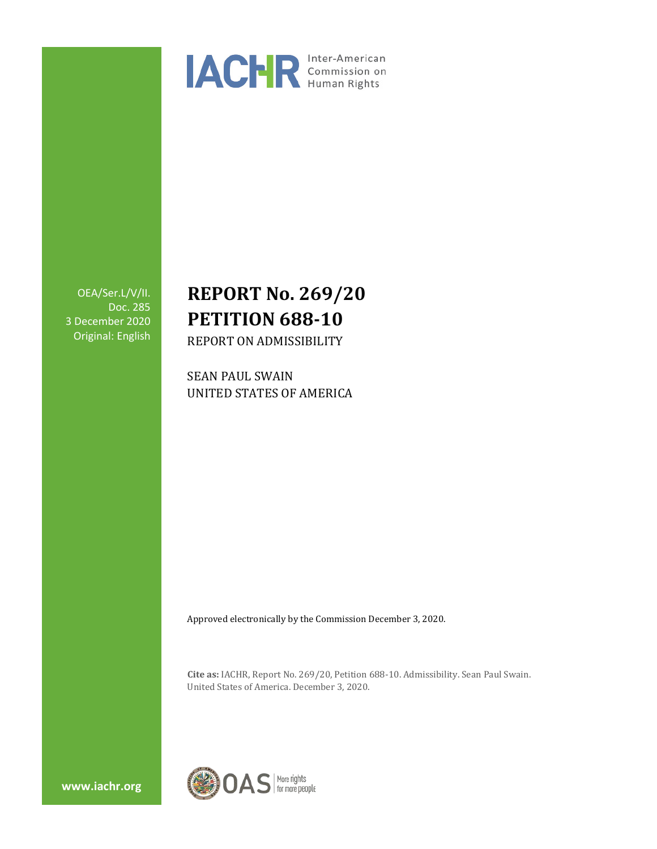

OEA/Ser.L/V/II. Doc. 285 3 December 2020 Original: English

# **REPORT No. 269/20 PETITION 688-10**

REPORT ON ADMISSIBILITY

SEAN PAUL SWAIN UNITED STATES OF AMERICA

Approved electronically by the Commission December 3, 2020.

**Cite as:** IACHR, Report No. 269/20, Petition 688-10. Admissibility. Sean Paul Swain. United States of America. December 3, 2020.

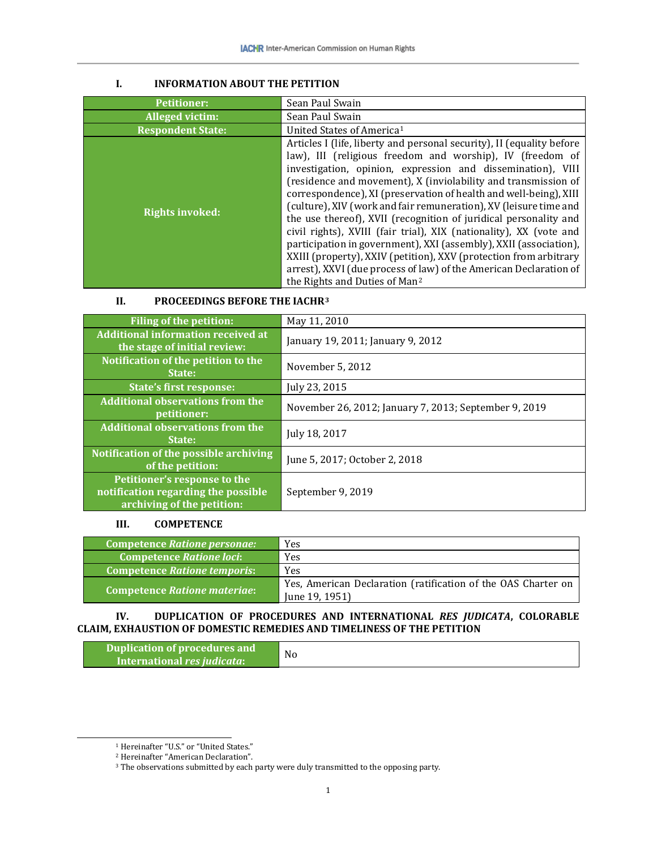| <b>Petitioner:</b>       | Sean Paul Swain                                                                                                                                                                                                                                                                                                                                                                                                                                                                                                                                                                                                                                                                                                                                                                                                     |
|--------------------------|---------------------------------------------------------------------------------------------------------------------------------------------------------------------------------------------------------------------------------------------------------------------------------------------------------------------------------------------------------------------------------------------------------------------------------------------------------------------------------------------------------------------------------------------------------------------------------------------------------------------------------------------------------------------------------------------------------------------------------------------------------------------------------------------------------------------|
| Alleged victim:          | Sean Paul Swain                                                                                                                                                                                                                                                                                                                                                                                                                                                                                                                                                                                                                                                                                                                                                                                                     |
| <b>Respondent State:</b> | United States of America <sup>1</sup>                                                                                                                                                                                                                                                                                                                                                                                                                                                                                                                                                                                                                                                                                                                                                                               |
| <b>Rights invoked:</b>   | Articles I (life, liberty and personal security), II (equality before<br>law), III (religious freedom and worship), IV (freedom of<br>investigation, opinion, expression and dissemination), VIII<br>(residence and movement), X (inviolability and transmission of<br>correspondence), XI (preservation of health and well-being), XIII<br>(culture), XIV (work and fair remuneration), XV (leisure time and<br>the use thereof), XVII (recognition of juridical personality and<br>civil rights), XVIII (fair trial), XIX (nationality), XX (vote and<br>participation in government), XXI (assembly), XXII (association),<br>XXIII (property), XXIV (petition), XXV (protection from arbitrary<br>arrest), XXVI (due process of law) of the American Declaration of<br>the Rights and Duties of Man <sup>2</sup> |

# **I. INFORMATION ABOUT THE PETITION**

# **II. PROCEEDINGS BEFORE THE IACHR[3](#page-1-2)**

| <b>Filing of the petition:</b>                                                                    | May 11, 2010                                          |
|---------------------------------------------------------------------------------------------------|-------------------------------------------------------|
| <b>Additional information received at</b><br>the stage of initial review:                         | January 19, 2011; January 9, 2012                     |
| Notification of the petition to the<br>State:                                                     | November 5, 2012                                      |
| <b>State's first response:</b>                                                                    | July 23, 2015                                         |
| <b>Additional observations from the</b><br>petitioner:                                            | November 26, 2012; January 7, 2013; September 9, 2019 |
| <b>Additional observations from the</b><br>State:                                                 | July 18, 2017                                         |
| Notification of the possible archiving<br>of the petition:                                        | June 5, 2017; October 2, 2018                         |
| Petitioner's response to the<br>notification regarding the possible<br>archiving of the petition: | September 9, 2019                                     |

#### **III. COMPETENCE**

| Competence Ratione personae:        | <b>Yes</b>                                                                       |
|-------------------------------------|----------------------------------------------------------------------------------|
| <b>Competence Ratione loci:</b>     | <b>Yes</b>                                                                       |
| <b>Competence Ratione temporis:</b> | Yes                                                                              |
| <b>Competence Ratione materiae:</b> | Yes, American Declaration (ratification of the OAS Charter on<br>June $19, 1951$ |

## **IV. DUPLICATION OF PROCEDURES AND INTERNATIONAL** *RES JUDICATA***, COLORABLE CLAIM, EXHAUSTION OF DOMESTIC REMEDIES AND TIMELINESS OF THE PETITION**

| N <sub>0</sub><br>International res judicata: |  |
|-----------------------------------------------|--|
|-----------------------------------------------|--|

<sup>&</sup>lt;sup>1</sup> Hereinafter "U.S." or "United States."

<span id="page-1-1"></span><span id="page-1-0"></span><sup>2</sup> Hereinafter "American Declaration".

<span id="page-1-2"></span><sup>&</sup>lt;sup>3</sup> The observations submitted by each party were duly transmitted to the opposing party.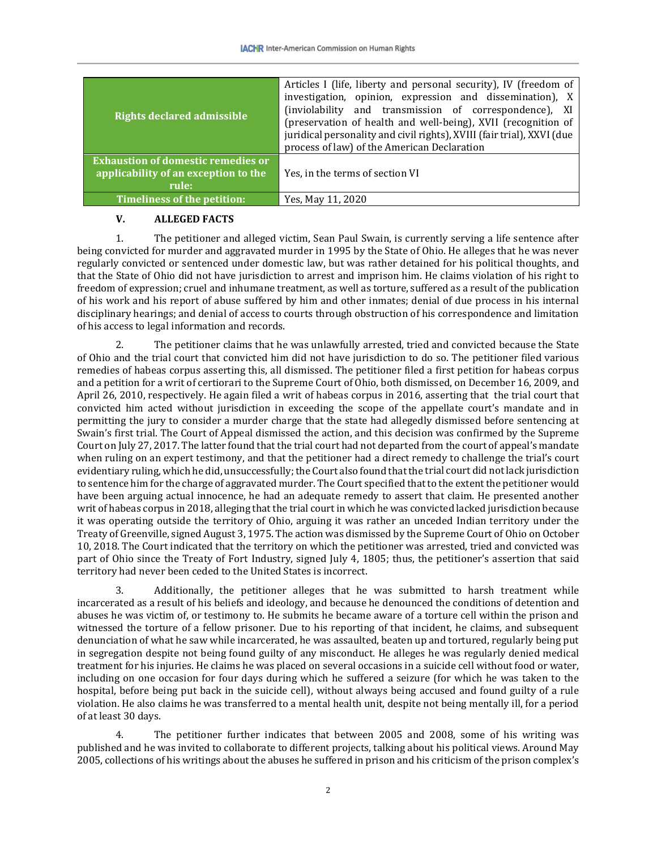| <b>Rights declared admissible</b>                                                          | Articles I (life, liberty and personal security), IV (freedom of<br>investigation, opinion, expression and dissemination), X<br>(inviolability and transmission of correspondence), XI<br>(preservation of health and well-being), XVII (recognition of<br>juridical personality and civil rights), XVIII (fair trial), XXVI (due<br>process of law) of the American Declaration |
|--------------------------------------------------------------------------------------------|----------------------------------------------------------------------------------------------------------------------------------------------------------------------------------------------------------------------------------------------------------------------------------------------------------------------------------------------------------------------------------|
| <b>Exhaustion of domestic remedies or</b><br>applicability of an exception to the<br>rule: | Yes, in the terms of section VI                                                                                                                                                                                                                                                                                                                                                  |
| Timeliness of the petition:                                                                | Yes, May 11, 2020                                                                                                                                                                                                                                                                                                                                                                |

#### **V. ALLEGED FACTS**

1. The petitioner and alleged victim, Sean Paul Swain, is currently serving a life sentence after being convicted for murder and aggravated murder in 1995 by the State of Ohio. He alleges that he was never regularly convicted or sentenced under domestic law, but was rather detained for his political thoughts, and that the State of Ohio did not have jurisdiction to arrest and imprison him. He claims violation of his right to freedom of expression; cruel and inhumane treatment, as well as torture, suffered as a result of the publication of his work and his report of abuse suffered by him and other inmates; denial of due process in his internal disciplinary hearings; and denial of access to courts through obstruction of his correspondence and limitation of his access to legal information and records.

2. The petitioner claims that he was unlawfully arrested, tried and convicted because the State of Ohio and the trial court that convicted him did not have jurisdiction to do so. The petitioner filed various remedies of habeas corpus asserting this, all dismissed. The petitioner filed a first petition for habeas corpus and a petition for a writ of certiorari to the Supreme Court of Ohio, both dismissed, on December 16, 2009, and April 26, 2010, respectively. He again filed a writ of habeas corpus in 2016, asserting that the trial court that convicted him acted without jurisdiction in exceeding the scope of the appellate court's mandate and in permitting the jury to consider a murder charge that the state had allegedly dismissed before sentencing at Swain's first trial. The Court of Appeal dismissed the action, and this decision was confirmed by the Supreme Court on July 27, 2017. The latter found that the trial court had not departed from the court of appeal's mandate when ruling on an expert testimony, and that the petitioner had a direct remedy to challenge the trial's court evidentiary ruling, which he did, unsuccessfully; the Court also found that the trial court did not lack jurisdiction to sentence him for the charge of aggravated murder. The Court specified that to the extent the petitioner would have been arguing actual innocence, he had an adequate remedy to assert that claim. He presented another writ of habeas corpus in 2018, alleging that the trial court in which he was convicted lacked jurisdiction because it was operating outside the territory of Ohio, arguing it was rather an unceded Indian territory under the Treaty of Greenville, signed August 3, 1975. The action was dismissed by the Supreme Court of Ohio on October 10, 2018. The Court indicated that the territory on which the petitioner was arrested, tried and convicted was part of Ohio since the Treaty of Fort Industry, signed July 4, 1805; thus, the petitioner's assertion that said territory had never been ceded to the United States is incorrect.

3. Additionally, the petitioner alleges that he was submitted to harsh treatment while incarcerated as a result of his beliefs and ideology, and because he denounced the conditions of detention and abuses he was victim of, or testimony to. He submits he became aware of a torture cell within the prison and witnessed the torture of a fellow prisoner. Due to his reporting of that incident, he claims, and subsequent denunciation of what he saw while incarcerated, he was assaulted, beaten up and tortured, regularly being put in segregation despite not being found guilty of any misconduct. He alleges he was regularly denied medical treatment for his injuries. He claims he was placed on several occasions in a suicide cell without food or water, including on one occasion for four days during which he suffered a seizure (for which he was taken to the hospital, before being put back in the suicide cell), without always being accused and found guilty of a rule violation. He also claims he was transferred to a mental health unit, despite not being mentally ill, for a period of at least 30 days.

4. The petitioner further indicates that between 2005 and 2008, some of his writing was published and he was invited to collaborate to different projects, talking about his political views. Around May 2005, collections of his writings about the abuses he suffered in prison and his criticism of the prison complex's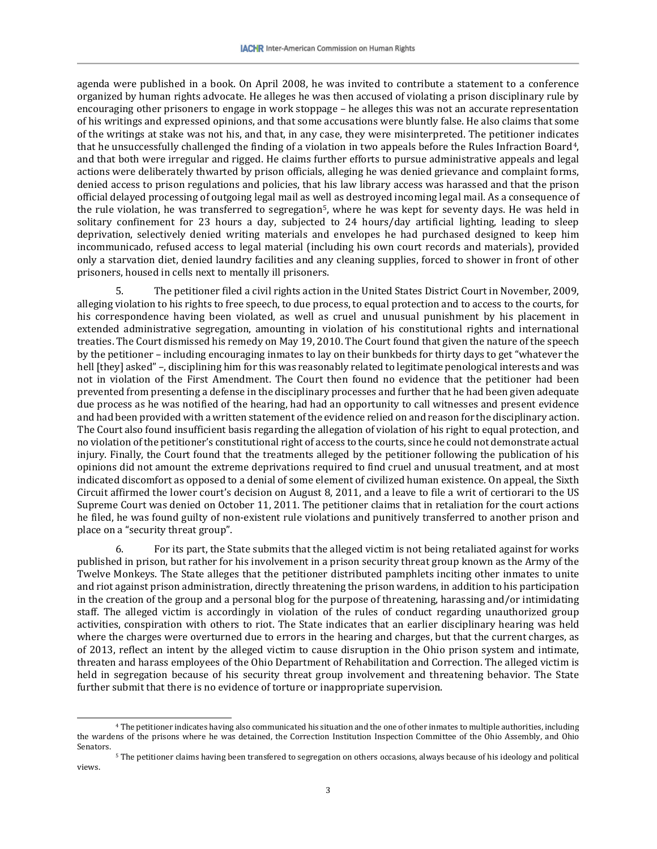agenda were published in a book. On April 2008, he was invited to contribute a statement to a conference organized by human rights advocate. He alleges he was then accused of violating a prison disciplinary rule by encouraging other prisoners to engage in work stoppage – he alleges this was not an accurate representation of his writings and expressed opinions, and that some accusations were bluntly false. He also claims that some of the writings at stake was not his, and that, in any case, they were misinterpreted. The petitioner indicates that he unsuccessfully challenged the finding of a violation in two appeals before the Rules Infraction Board[4,](#page-3-0) and that both were irregular and rigged. He claims further efforts to pursue administrative appeals and legal actions were deliberately thwarted by prison officials, alleging he was denied grievance and complaint forms, denied access to prison regulations and policies, that his law library access was harassed and that the prison official delayed processing of outgoing legal mail as well as destroyed incoming legal mail. As a consequence of the rule violation, he was transferred to segregation<sup>5</sup>, where he was kept for seventy days. He was held in solitary confinement for 23 hours a day, subjected to 24 hours/day artificial lighting, leading to sleep deprivation, selectively denied writing materials and envelopes he had purchased designed to keep him incommunicado, refused access to legal material (including his own court records and materials), provided only a starvation diet, denied laundry facilities and any cleaning supplies, forced to shower in front of other prisoners, housed in cells next to mentally ill prisoners.

5. The petitioner filed a civil rights action in the United States District Court in November, 2009, alleging violation to his rights to free speech, to due process, to equal protection and to access to the courts, for his correspondence having been violated, as well as cruel and unusual punishment by his placement in extended administrative segregation, amounting in violation of his constitutional rights and international treaties. The Court dismissed his remedy on May 19, 2010. The Court found that given the nature of the speech by the petitioner – including encouraging inmates to lay on their bunkbeds for thirty days to get "whatever the hell [they] asked" –, disciplining him for this was reasonably related to legitimate penological interests and was not in violation of the First Amendment. The Court then found no evidence that the petitioner had been prevented from presenting a defense in the disciplinary processes and further that he had been given adequate due process as he was notified of the hearing, had had an opportunity to call witnesses and present evidence and had been provided with a written statement of the evidence relied on and reason for the disciplinary action. The Court also found insufficient basis regarding the allegation of violation of his right to equal protection, and no violation of the petitioner's constitutional right of access to the courts, since he could not demonstrate actual injury. Finally, the Court found that the treatments alleged by the petitioner following the publication of his opinions did not amount the extreme deprivations required to find cruel and unusual treatment, and at most indicated discomfort as opposed to a denial of some element of civilized human existence. On appeal, the Sixth Circuit affirmed the lower court's decision on August 8, 2011, and a leave to file a writ of certiorari to the US Supreme Court was denied on October 11, 2011. The petitioner claims that in retaliation for the court actions he filed, he was found guilty of non-existent rule violations and punitively transferred to another prison and place on a "security threat group".

6. For its part, the State submits that the alleged victim is not being retaliated against for works published in prison, but rather for his involvement in a prison security threat group known as the Army of the Twelve Monkeys. The State alleges that the petitioner distributed pamphlets inciting other inmates to unite and riot against prison administration, directly threatening the prison wardens, in addition to his participation in the creation of the group and a personal blog for the purpose of threatening, harassing and/or intimidating staff. The alleged victim is accordingly in violation of the rules of conduct regarding unauthorized group activities, conspiration with others to riot. The State indicates that an earlier disciplinary hearing was held where the charges were overturned due to errors in the hearing and charges, but that the current charges, as of 2013, reflect an intent by the alleged victim to cause disruption in the Ohio prison system and intimate, threaten and harass employees of the Ohio Department of Rehabilitation and Correction. The alleged victim is held in segregation because of his security threat group involvement and threatening behavior. The State further submit that there is no evidence of torture or inappropriate supervision.

<span id="page-3-0"></span> <sup>4</sup> The petitioner indicates having also communicated his situation and the one of other inmates to multiple authorities, including the wardens of the prisons where he was detained, the Correction Institution Inspection Committee of the Ohio Assembly, and Ohio Senators.

<span id="page-3-1"></span><sup>5</sup> The petitioner claims having been transfered to segregation on others occasions, always because of his ideology and political views.